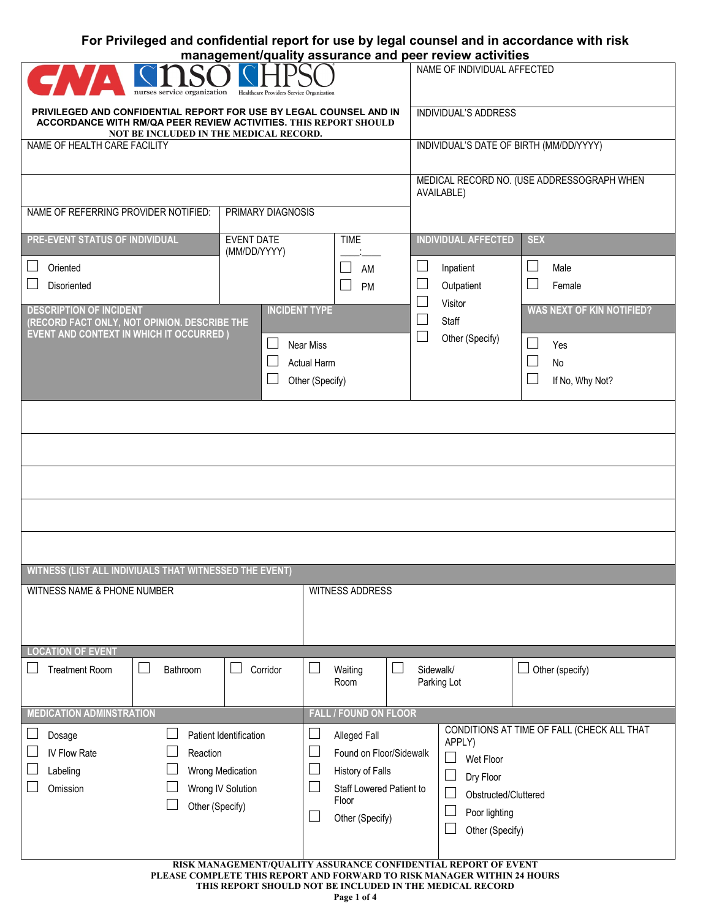## **For Privileged and confidential report for use by legal counsel and in accordance with risk management/quality assurance and peer review activities**

| nurses service organization<br>Healthcare Providers Service Organization                                                                                                                              |                                                          |                                             | NAME OF INDIVIDUAL AFFECTED                 |                                            |  |  |
|-------------------------------------------------------------------------------------------------------------------------------------------------------------------------------------------------------|----------------------------------------------------------|---------------------------------------------|---------------------------------------------|--------------------------------------------|--|--|
| PRIVILEGED AND CONFIDENTIAL REPORT FOR USE BY LEGAL COUNSEL AND IN<br>ACCORDANCE WITH RM/QA PEER REVIEW ACTIVITIES. THIS REPORT SHOULD<br>NOT BE INCLUDED IN THE MEDICAL RECORD.                      | <b>INDIVIDUAL'S ADDRESS</b>                              |                                             |                                             |                                            |  |  |
| NAME OF HEALTH CARE FACILITY                                                                                                                                                                          | INDIVIDUAL'S DATE OF BIRTH (MM/DD/YYYY)                  |                                             |                                             |                                            |  |  |
|                                                                                                                                                                                                       | MEDICAL RECORD NO. (USE ADDRESSOGRAPH WHEN<br>AVAILABLE) |                                             |                                             |                                            |  |  |
| NAME OF REFERRING PROVIDER NOTIFIED:                                                                                                                                                                  | PRIMARY DIAGNOSIS                                        |                                             |                                             |                                            |  |  |
| PRE-EVENT STATUS OF INDIVIDUAL                                                                                                                                                                        | <b>EVENT DATE</b><br>(MM/DD/YYYY)                        | <b>TIME</b>                                 | <b>INDIVIDUAL AFFECTED</b>                  | <b>SEX</b>                                 |  |  |
| Oriented                                                                                                                                                                                              |                                                          | AM                                          | $\mathcal{L}_{\mathcal{A}}$<br>Inpatient    | $\mathcal{L}_{\mathcal{A}}$<br>Male        |  |  |
| Disoriented                                                                                                                                                                                           |                                                          | PM                                          | Outpatient                                  | r.<br>Female                               |  |  |
| <b>DESCRIPTION OF INCIDENT</b><br>(RECORD FACT ONLY, NOT OPINION. DESCRIBE THE                                                                                                                        | <b>INCIDENT TYPE</b>                                     |                                             | Visitor<br>Staff                            | <b>WAS NEXT OF KIN NOTIFIED?</b>           |  |  |
| <b>EVENT AND CONTEXT IN WHICH IT OCCURRED)</b>                                                                                                                                                        | ⊔<br><b>Near Miss</b>                                    |                                             | $\overline{\phantom{a}}$<br>Other (Specify) | Yes                                        |  |  |
|                                                                                                                                                                                                       | <b>Actual Harm</b>                                       |                                             |                                             | b.<br><b>No</b>                            |  |  |
|                                                                                                                                                                                                       | Other (Specify)                                          |                                             |                                             | If No, Why Not?                            |  |  |
|                                                                                                                                                                                                       |                                                          |                                             |                                             |                                            |  |  |
|                                                                                                                                                                                                       |                                                          |                                             |                                             |                                            |  |  |
|                                                                                                                                                                                                       |                                                          |                                             |                                             |                                            |  |  |
|                                                                                                                                                                                                       |                                                          |                                             |                                             |                                            |  |  |
|                                                                                                                                                                                                       |                                                          |                                             |                                             |                                            |  |  |
| WITNESS (LIST ALL INDIVIUALS THAT WITNESSED THE EVENT)                                                                                                                                                |                                                          |                                             |                                             |                                            |  |  |
| WITNESS NAME & PHONE NUMBER                                                                                                                                                                           |                                                          | <b>WITNESS ADDRESS</b>                      |                                             |                                            |  |  |
|                                                                                                                                                                                                       |                                                          |                                             |                                             |                                            |  |  |
| <b>LOCATION OF EVENT</b>                                                                                                                                                                              |                                                          |                                             |                                             |                                            |  |  |
| <b>Treatment Room</b><br>Bathroom<br>$\Box$                                                                                                                                                           | Corridor                                                 | Waiting<br>Room                             | Sidewalk/<br>Parking Lot                    | ⊔<br>Other (specify)                       |  |  |
| <b>MEDICATION ADMINSTRATION</b>                                                                                                                                                                       |                                                          | <b>FALL / FOUND ON FLOOR</b>                |                                             |                                            |  |  |
| Dosage                                                                                                                                                                                                | Patient Identification                                   | Alleged Fall                                | APPLY)                                      | CONDITIONS AT TIME OF FALL (CHECK ALL THAT |  |  |
| IV Flow Rate<br>Reaction                                                                                                                                                                              |                                                          | Found on Floor/Sidewalk<br>History of Falls | $\sim$<br>Wet Floor                         |                                            |  |  |
| Labeling<br>Wrong Medication<br>Omission<br>Wrong IV Solution                                                                                                                                         |                                                          | <b>Staff Lowered Patient to</b>             | Dry Floor<br>Obstructed/Cluttered           |                                            |  |  |
| Other (Specify)                                                                                                                                                                                       |                                                          | Floor                                       | Poor lighting                               |                                            |  |  |
|                                                                                                                                                                                                       |                                                          | Other (Specify)                             | Other (Specify)                             |                                            |  |  |
|                                                                                                                                                                                                       |                                                          |                                             |                                             |                                            |  |  |
| RISK MANAGEMENT/QUALITY ASSURANCE CONFIDENTIAL REPORT OF EVENT<br>PLEASE COMPLETE THIS REPORT AND FORWARD TO RISK MANAGER WITHIN 24 HOURS<br>THIS REPORT SHOULD NOT BE INCLUDED IN THE MEDICAL RECORD |                                                          |                                             |                                             |                                            |  |  |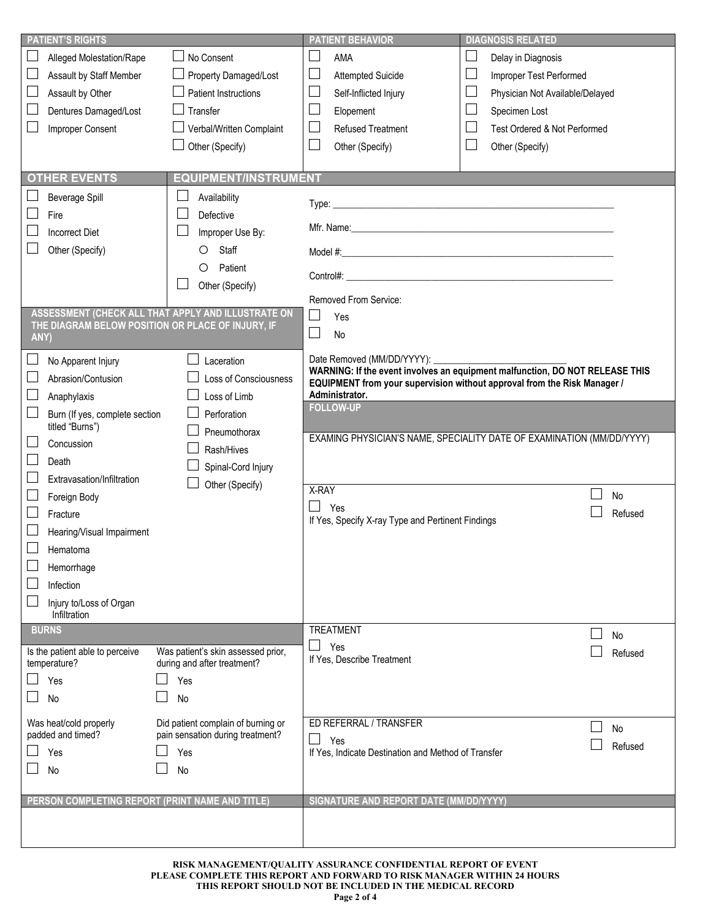|                                                                                               | <b>PATIENT'S RIGHTS</b>                     |                                                                        |                                                                       | <b>PATIENT BEHAVIOR</b>                             |                             | <b>DIAGNOSIS RELATED</b>                                                     |  |
|-----------------------------------------------------------------------------------------------|---------------------------------------------|------------------------------------------------------------------------|-----------------------------------------------------------------------|-----------------------------------------------------|-----------------------------|------------------------------------------------------------------------------|--|
|                                                                                               | Alleged Molestation/Rape                    | No Consent                                                             |                                                                       | AMA                                                 | $\Box$                      | Delay in Diagnosis                                                           |  |
|                                                                                               | Assault by Staff Member                     | Property Damaged/Lost                                                  |                                                                       | <b>Attempted Suicide</b>                            | $\mathcal{L}_{\mathcal{A}}$ | Improper Test Performed                                                      |  |
|                                                                                               | Assault by Other                            | <b>Patient Instructions</b>                                            |                                                                       | Self-Inflicted Injury                               | ⊔                           | Physician Not Available/Delayed                                              |  |
|                                                                                               | Dentures Damaged/Lost                       | Transfer                                                               |                                                                       | Elopement                                           |                             | Specimen Lost                                                                |  |
|                                                                                               | Improper Consent                            | Verbal/Written Complaint                                               |                                                                       | <b>Refused Treatment</b>                            |                             | Test Ordered & Not Performed                                                 |  |
|                                                                                               |                                             | Other (Specify)                                                        |                                                                       | Other (Specify)                                     |                             | Other (Specify)                                                              |  |
|                                                                                               |                                             |                                                                        |                                                                       |                                                     |                             |                                                                              |  |
|                                                                                               | <b>OTHER EVENTS</b>                         | <b>EQUIPMENT/INSTRUMENT</b>                                            |                                                                       |                                                     |                             |                                                                              |  |
|                                                                                               | <b>Beverage Spill</b>                       | Availability                                                           |                                                                       |                                                     |                             |                                                                              |  |
|                                                                                               |                                             |                                                                        |                                                                       |                                                     |                             |                                                                              |  |
|                                                                                               | Fire                                        | Defective                                                              |                                                                       |                                                     |                             |                                                                              |  |
|                                                                                               | <b>Incorrect Diet</b>                       | Improper Use By:                                                       |                                                                       |                                                     |                             |                                                                              |  |
|                                                                                               | Other (Specify)                             | Staff<br>O                                                             |                                                                       |                                                     |                             |                                                                              |  |
|                                                                                               |                                             | Patient<br>O                                                           |                                                                       | Control#:                                           |                             |                                                                              |  |
|                                                                                               |                                             | Other (Specify)                                                        |                                                                       |                                                     |                             |                                                                              |  |
|                                                                                               |                                             | ASSESSMENT (CHECK ALL THAT APPLY AND ILLUSTRATE ON                     |                                                                       | Removed From Service:                               |                             |                                                                              |  |
|                                                                                               |                                             | THE DIAGRAM BELOW POSITION OR PLACE OF INJURY, IF                      |                                                                       | Yes                                                 |                             |                                                                              |  |
| ANY)                                                                                          |                                             |                                                                        |                                                                       | <b>No</b>                                           |                             |                                                                              |  |
|                                                                                               | No Apparent Injury                          | Laceration                                                             |                                                                       | Date Removed (MM/DD/YYYY): _                        |                             |                                                                              |  |
|                                                                                               | Abrasion/Contusion                          | <b>Loss of Consciousness</b>                                           |                                                                       |                                                     |                             | WARNING: If the event involves an equipment malfunction, DO NOT RELEASE THIS |  |
|                                                                                               | Anaphylaxis                                 | Loss of Limb                                                           |                                                                       | Administrator.                                      |                             | EQUIPMENT from your supervision without approval from the Risk Manager /     |  |
|                                                                                               |                                             | Perforation                                                            |                                                                       | <b>FOLLOW-UP</b>                                    |                             |                                                                              |  |
| Burn (If yes, complete section<br>titled "Burns")<br>Pneumothorax<br>Concussion<br>Rash/Hives |                                             |                                                                        |                                                                       |                                                     |                             |                                                                              |  |
|                                                                                               |                                             |                                                                        | EXAMING PHYSICIAN'S NAME, SPECIALITY DATE OF EXAMINATION (MM/DD/YYYY) |                                                     |                             |                                                                              |  |
|                                                                                               | Death                                       |                                                                        |                                                                       |                                                     |                             |                                                                              |  |
|                                                                                               | Extravasation/Infiltration                  | Spinal-Cord Injury                                                     |                                                                       |                                                     |                             |                                                                              |  |
|                                                                                               | Foreign Body                                | Other (Specify)                                                        | X-RAY                                                                 |                                                     |                             | <b>No</b>                                                                    |  |
|                                                                                               | Fracture                                    |                                                                        | $\Box$                                                                | Yes                                                 |                             | Refused                                                                      |  |
|                                                                                               |                                             |                                                                        | If Yes, Specify X-ray Type and Pertinent Findings                     |                                                     |                             |                                                                              |  |
| Hearing/Visual Impairment                                                                     |                                             |                                                                        |                                                                       |                                                     |                             |                                                                              |  |
|                                                                                               | Hematoma                                    |                                                                        |                                                                       |                                                     |                             |                                                                              |  |
|                                                                                               | Hemorrhage                                  |                                                                        |                                                                       |                                                     |                             |                                                                              |  |
|                                                                                               | Infection                                   |                                                                        |                                                                       |                                                     |                             |                                                                              |  |
|                                                                                               | Injury to/Loss of Organ<br>Infiltration     |                                                                        |                                                                       |                                                     |                             |                                                                              |  |
| <b>BURNS</b>                                                                                  |                                             |                                                                        |                                                                       | <b>TREATMENT</b>                                    |                             |                                                                              |  |
|                                                                                               | Is the patient able to perceive             | Was patient's skin assessed prior,                                     | $\overline{\phantom{0}}$                                              | Yes                                                 |                             | No<br>Refused                                                                |  |
|                                                                                               | temperature?                                | during and after treatment?                                            |                                                                       | If Yes, Describe Treatment                          |                             |                                                                              |  |
|                                                                                               | Yes                                         | Yes                                                                    |                                                                       |                                                     |                             |                                                                              |  |
|                                                                                               | No                                          | No                                                                     |                                                                       |                                                     |                             |                                                                              |  |
|                                                                                               |                                             |                                                                        |                                                                       |                                                     |                             |                                                                              |  |
|                                                                                               | Was heat/cold properly<br>padded and timed? | Did patient complain of burning or<br>pain sensation during treatment? |                                                                       | ED REFERRAL / TRANSFER                              |                             | No                                                                           |  |
|                                                                                               | Yes                                         | Yes                                                                    |                                                                       | Yes                                                 |                             | Refused                                                                      |  |
|                                                                                               |                                             |                                                                        |                                                                       | If Yes, Indicate Destination and Method of Transfer |                             |                                                                              |  |
|                                                                                               | No                                          | No                                                                     |                                                                       |                                                     |                             |                                                                              |  |
|                                                                                               |                                             | PERSON COMPLETING REPORT (PRINT NAME AND TITLE)                        |                                                                       | SIGNATURE AND REPORT DATE (MM/DD/YYYY)              |                             |                                                                              |  |
|                                                                                               |                                             |                                                                        |                                                                       |                                                     |                             |                                                                              |  |
|                                                                                               |                                             |                                                                        |                                                                       |                                                     |                             |                                                                              |  |
|                                                                                               |                                             |                                                                        |                                                                       |                                                     |                             |                                                                              |  |

**RISK MANAGEMENT/QUALITY ASSURANCE CONFIDENTIAL REPORT OF EVENT PLEASE COMPLETE THIS REPORT AND FORWARD TO RISK MANAGER WITHIN 24 HOURS THIS REPORT SHOULD NOT BE INCLUDED IN THE MEDICAL RECORD**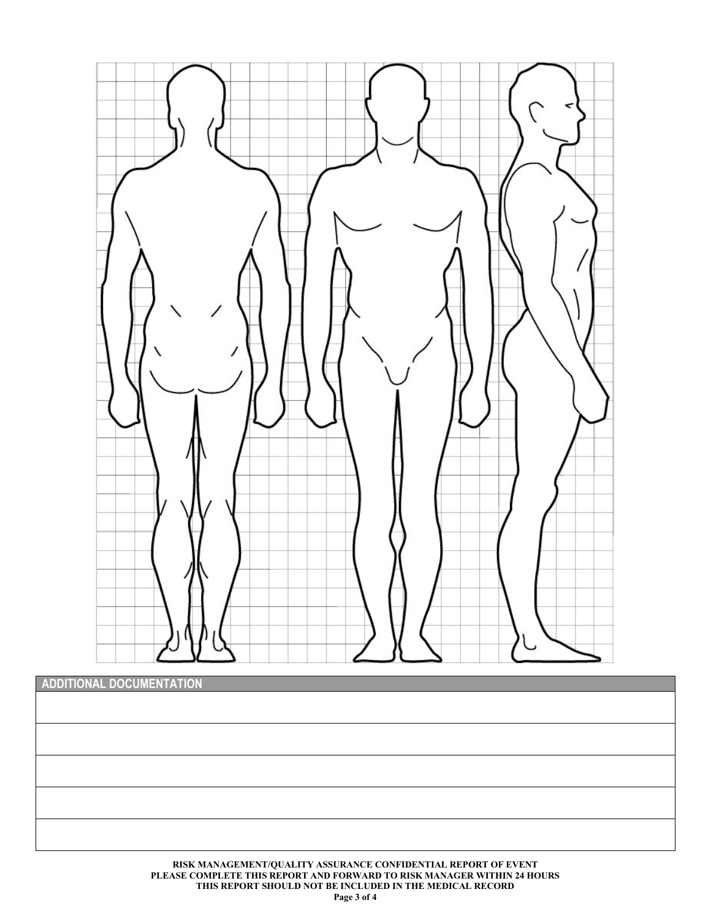

| ADDITIONAL DOCUMENTATION |  |
|--------------------------|--|
|                          |  |
|                          |  |
|                          |  |
|                          |  |
|                          |  |
|                          |  |
|                          |  |
|                          |  |
|                          |  |
|                          |  |